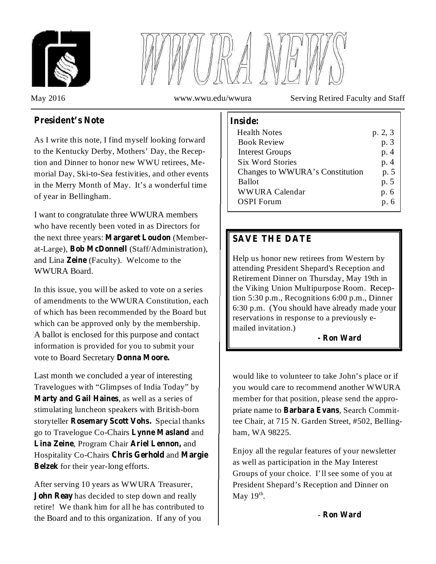



May 2016 www.wwu.edu/wwura Serving Retired Faculty and Staff

# **President's** Note  $\qquad \qquad$  **I** Inside:

As I write this note, I find myself looking forward to the Kentucky Derby, Mothers' Day, the Reception and Dinner to honor new WWU retirees, Memorial Day, Ski-to-Sea festivities, and other events in the Merry Month of May. It's a wonderful time of year in Bellingham.

I want to congratulate three WWURA members who have recently been voted in as Directors for the next three years: Margaret Loudon (Memberat-Large), Bob McDonnell (Staff/Administration), and Lina Zeine (Faculty). Welcome to the WWURA Board.

In this issue, you will be asked to vote on a series of amendments to the WWURA Constitution, each of which has been recommended by the Board but which can be approved only by the membership. A ballot is enclosed for this purpose and contact information is provided for you to submit your vote to Board Secretary **Donna Moore.**

Last month we concluded a year of interesting Travelogues with "Glimpses of India Today" by Marty and Gail Haines, as well as a series of stimulating luncheon speakers with British-born storyteller Rosemary Scott Vohs. Special thanks go to Travelogue Co-Chairs Lynne Masland and **Lina Zeine, Program Chair Ariel Lennon, and** Hospitality Co-Chairs Chris Gerhold and Margie Belzek for their year-long efforts.

After serving 10 years as WWURA Treasurer, **John Reay** has decided to step down and really retire! We thank him for all he has contributed to the Board and to this organization. If any of you

| <b>Health Notes</b>             | p. 2, 3 |
|---------------------------------|---------|
| <b>Book Review</b>              | p. 3    |
| <b>Interest Groups</b>          | p. 4    |
| <b>Six Word Stories</b>         | p. 4    |
| Changes to WWURA's Constitution | p. 5    |
| <b>Ballot</b>                   | p. 5    |
| WWURA Calendar                  | p. 6    |
| <b>OSPI</b> Forum               | p. 6    |
|                                 |         |

# **SAVE THE DATE**

Help us honor new retirees from Western by attending President Shepard's Reception and Retirement Dinner on Thursday, May 19th in the Viking Union Multipurpose Room. Reception 5:30 p.m., Recognitions 6:00 p.m., Dinner 6:30 p.m. (You should have already made your reservations in response to a previously emailed invitation.)

## **- Ron Ward**

would like to volunteer to take John's place or if you would care to recommend another WWURA member for that position, please send the appropriate name to Barbara Evans, Search Committee Chair, at 715 N. Garden Street, #502, Bellingham, WA 98225.

Enjoy all the regular features of your newsletter as well as participation in the May Interest Groups of your choice. I'll see some of you at President Shepard's Reception and Dinner on May  $19<sup>th</sup>$ .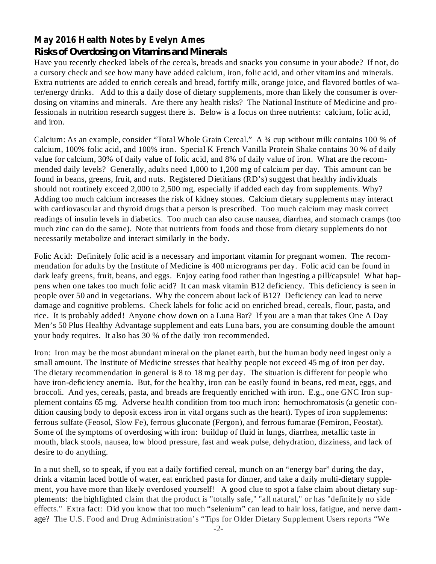# **May 2016 Health Notes by Evelyn Ames** *Risks of Overdosing on Vitamins and Minerals*

Have you recently checked labels of the cereals, breads and snacks you consume in your abode? If not, do a cursory check and see how many have added calcium, iron, folic acid, and other vitamins and minerals. Extra nutrients are added to enrich cereals and bread, fortify milk, orange juice, and flavored bottles of water/energy drinks. Add to this a daily dose of dietary supplements, more than likely the consumer is overdosing on vitamins and minerals. Are there any health risks? The National Institute of Medicine and professionals in nutrition research suggest there is. Below is a focus on three nutrients: calcium, folic acid, and iron.

Calcium: As an example, consider "Total Whole Grain Cereal." A ¾ cup without milk contains 100 % of calcium, 100% folic acid, and 100% iron. Special K French Vanilla Protein Shake contains 30 % of daily value for calcium, 30% of daily value of folic acid, and 8% of daily value of iron. What are the recommended daily levels? Generally, adults need 1,000 to 1,200 mg of calcium per day. This amount can be found in beans, greens, fruit, and nuts. Registered Dietitians (RD's) suggest that healthy individuals should not routinely exceed 2,000 to 2,500 mg, especially if added each day from supplements. Why? Adding too much calcium increases the risk of kidney stones. Calcium dietary supplements may interact with cardiovascular and thyroid drugs that a person is prescribed. Too much calcium may mask correct readings of insulin levels in diabetics. Too much can also cause nausea, diarrhea, and stomach cramps (too much zinc can do the same). Note that nutrients from foods and those from dietary supplements do not necessarily metabolize and interact similarly in the body.

Folic Acid: Definitely folic acid is a necessary and important vitamin for pregnant women. The recommendation for adults by the Institute of Medicine is 400 micrograms per day. Folic acid can be found in dark leafy greens, fruit, beans, and eggs. Enjoy eating food rather than ingesting a pill/capsule! What happens when one takes too much folic acid? It can mask vitamin B12 deficiency. This deficiency is seen in people over 50 and in vegetarians. Why the concern about lack of B12? Deficiency can lead to nerve damage and cognitive problems. Check labels for folic acid on enriched bread, cereals, flour, pasta, and rice. It is probably added! Anyone chow down on a Luna Bar? If you are a man that takes One A Day Men's 50 Plus Healthy Advantage supplement and eats Luna bars, you are consuming double the amount your body requires. It also has 30 % of the daily iron recommended.

Iron: Iron may be the most abundant mineral on the planet earth, but the human body need ingest only a small amount. The Institute of Medicine stresses that healthy people not exceed 45 mg of iron per day. The dietary recommendation in general is 8 to 18 mg per day. The situation is different for people who have iron-deficiency anemia. But, for the healthy, iron can be easily found in beans, red meat, eggs, and broccoli. And yes, cereals, pasta, and breads are frequently enriched with iron. E.g., one GNC Iron supplement contains 65 mg. Adverse health condition from too much iron: hemochromatosis (a genetic condition causing body to deposit excess iron in vital organs such as the heart). Types of iron supplements: ferrous sulfate (Feosol, Slow Fe), ferrous gluconate (Fergon), and ferrous fumarae (Femiron, Feostat). Some of the symptoms of overdosing with iron: buildup of fluid in lungs, diarrhea, metallic taste in mouth, black stools, nausea, low blood pressure, fast and weak pulse, dehydration, dizziness, and lack of desire to do anything.

In a nut shell, so to speak, if you eat a daily fortified cereal, munch on an "energy bar" during the day, drink a vitamin laced bottle of water, eat enriched pasta for dinner, and take a daily multi-dietary supplement, you have more than likely overdosed yourself! A good clue to spot a <u>false</u> claim about dietary supplements: the highlighted claim that the product is "totally safe," "all natural," or has "definitely no side effects." Extra fact: Did you know that too much "selenium" can lead to hair loss, fatigue, and nerve damage? The U.S. Food and Drug Administration's "Tips for Older Dietary Supplement Users reports "We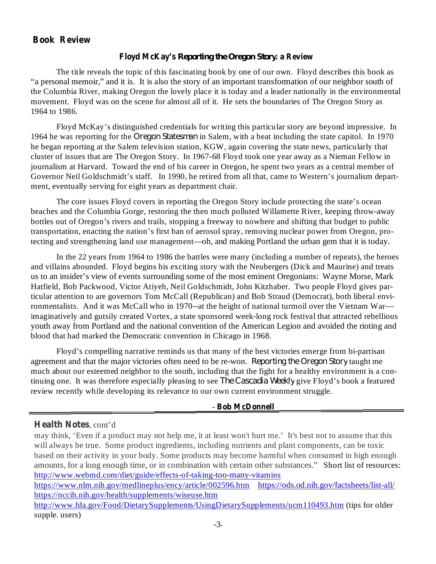## **Book Review**

#### **Floyd McKay's Reporting the Oregon Story: a Review**

The title reveals the topic of this fascinating book by one of our own. Floyd describes this book as "a personal memoir," and it is. It is also the story of an important transformation of our neighbor south of the Columbia River, making Oregon the lovely place it is today and a leader nationally in the environmental movement. Floyd was on the scene for almost all of it. He sets the boundaries of The Oregon Story as 1964 to 1986.

Floyd McKay's distinguished credentials for writing this particular story are beyond impressive. In 1964 he was reporting for the *Oregon Statesman* in Salem, with a beat including the state capitol. In 1970 he began reporting at the Salem television station, KGW, again covering the state news, particularly that cluster of issues that are The Oregon Story. In 1967-68 Floyd took one year away as a Nieman Fellow in journalism at Harvard. Toward the end of his career in Oregon, he spent two years as a central member of Governor Neil Goldschmidt's staff. In 1990, he retired from all that, came to Western's journalism department, eventually serving for eight years as department chair.

The core issues Floyd covers in reporting the Oregon Story include protecting the state's ocean beaches and the Columbia Gorge, restoring the then much polluted Willamette River, keeping throw-away bottles out of Oregon's rivers and trails, stopping a freeway to nowhere and shifting that budget to public transportation, enacting the nation's first ban of aerosol spray, removing nuclear power from Oregon, protecting and strengthening land use management—oh, and making Portland the urban gem that it is today.

In the 22 years from 1964 to 1986 the battles were many (including a number of repeats), the heroes and villains abounded. Floyd begins his exciting story with the Neubergers (Dick and Maurine) and treats us to an insider's view of events surrounding some of the most eminent Oregonians: Wayne Morse, Mark Hatfield, Bob Packwood, Victor Atiyeh, Neil Goldschmidt, John Kitzhaber. Two people Floyd gives particular attention to are governors Tom McCall (Republican) and Bob Straud (Democrat), both liberal environmentalists. And it was McCall who in 1970--at the height of national turmoil over the Vietnam War imaginatively and gutsily created Vortex, a state sponsored week-long rock festival that attracted rebellious youth away from Portland and the national convention of the American Legion and avoided the rioting and blood that had marked the Democratic convention in Chicago in 1968.

Floyd's compelling narrative reminds us that many of the best victories emerge from bi-partisan agreement and that the major victories often need to be re-won. Reporting the Oregon Story taught me much about our esteemed neighbor to the south, including that the fight for a healthy environment is a continuing one. It was therefore especially pleasing to see *The Cascadia Weekly* give Floyd's book a featured review recently while developing its relevance to our own current environment struggle.

#### **Bob McDonnell** -

**Health Notes** , cont'd

may think, 'Even if a product may not help me, it at least won't hurt me.' It's best not to assume that this will always be true. Some product ingredients, including nutrients and plant components, can be toxic based on their activity in your body. Some products may become harmful when consumed in high enough amounts, for a long enough time, or in combination with certain other substances." Short list of resources: http://www.webmd.com/diet/guide/effects-of-taking-too-many-vitamins

https://www.nlm.nih.gov/medlineplus/ency/article/002596.htm https://ods.od.nih.gov/factsheets/list-all/ https://nccih.nih.gov/health/supplements/wiseuse.htm

http://www.fda.gov/Food/DietarySupplements/UsingDietarySupplements/ucm110493.htm (tips for older supple. users)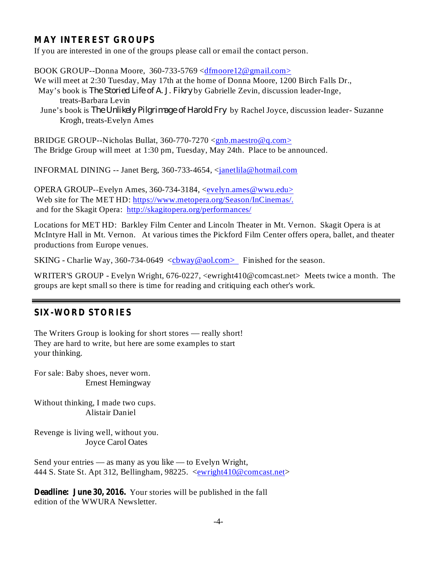## **MAY INTEREST GROUPS**

If you are interested in one of the groups please call or email the contact person.

BOOK GROUP--Donna Moore, 360-733-5769 <dfmoore12@gmail.com>

We will meet at 2:30 Tuesday, May 17th at the home of Donna Moore, 1200 Birch Falls Dr., May's book is *The Storied Life of A. J. Fikry* by Gabrielle Zevin, discussion leader-Inge,

- treats-Barbara Levin
- *June's book is The Unlikely Pilgrimage of Harold Fry by Rachel Joyce, discussion leader-Suzanne* Krogh, treats-Evelyn Ames

BRIDGE GROUP--Nicholas Bullat, 360-770-7270 <gnb.maestro@q.com> The Bridge Group will meet at 1:30 pm, Tuesday, May 24th. Place to be announced.

INFORMAL DINING -- Janet Berg, 360-733-4654, <janetlila@hotmail.com

OPERA GROUP--Evelyn Ames, 360-734-3184, <evelyn.ames@wwu.edu> Web site for The MET HD: https://www.metopera.org/Season/InCinemas/. and for the Skagit Opera: http://skagitopera.org/performances/

Locations for MET HD: Barkley Film Center and Lincoln Theater in Mt. Vernon. Skagit Opera is at McIntyre Hall in Mt. Vernon. At various times the Pickford Film Center offers opera, ballet, and theater productions from Europe venues.

SKING - Charlie Way, 360-734-0649  $\langle$ cbway@aol.com> Finished for the season.

WRITER'S GROUP - Evelyn Wright, 676-0227, <ewright410@comcast.net> Meets twice a month. The groups are kept small so there is time for reading and critiquing each other's work.

#### **SIX-WORD STORIES**

The Writers Group is looking for short stores — really short! They are hard to write, but here are some examples to start your thinking.

For sale: Baby shoes, never worn. Ernest Hemingway

Without thinking, I made two cups. Alistair Daniel

Revenge is living well, without you. Joyce Carol Oates

Send your entries — as many as you like — to Evelyn Wright, 444 S. State St. Apt 312, Bellingham, 98225. <ewright410@comcast.net>

**Deadline: June 30, 2016.** Your stories will be published in the fall edition of the WWURA Newsletter.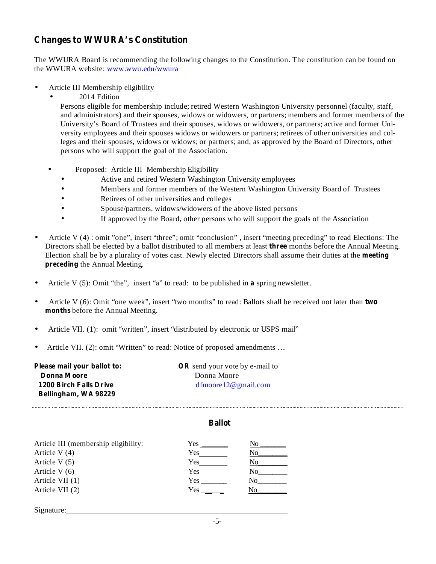# **Changes to WWURA's Constitution**

The WWURA Board is recommending the following changes to the Constitution. The constitution can be found on the WWURA website: www.wwu.edu/wwura

- Article III Membership eligibility •
	- 2014 Edition •

Persons eligible for membership include; retired Western Washington University personnel (faculty, staff, and administrators) and their spouses, widows or widowers, or partners; members and former members of the University's Board of Trustees and their spouses, widows or widowers, or partners; active and former University employees and their spouses widows or widowers or partners; retirees of other universities and colleges and their spouses, widows or widows; or partners; and, as approved by the Board of Directors, other persons who will support the goal of the Association.

- Proposed: Article III Membership Eligibility •
	- Active and retired Western Washington University employees •
	- Members and former members of the Western Washington University Board of Trustees •
	- Retirees of other universities and colleges •
	- Spouse/partners, widows/widowers of the above listed persons •
	- If approved by the Board, other persons who will support the goals of the Association •
- Directors shall be elected by a ballot distributed to all members at least three months before the Annual Meeting. Election shall be by a plurality of votes cast. Newly elected Directors shall assume their duties at the meeting **preceding** the Annual Meeting. Article V (4) : omit "one", insert "three"; omit "conclusion" , insert "meeting preceding" to read Elections: The •
- Article V  $(5)$ : Omit "the", insert "a" to read: to be published in a spring newsletter. •
- Article V (6): Omit "one week", insert "two months" to read: Ballots shall be received not later than two **months** before the Annual Meeting. •
- Article VII. (1): omit "written", insert "distributed by electronic or USPS mail" •
- Article VII. (2): omit "Written" to read: Notice of proposed amendments … •

| Please mail your ballot to: | <b>OR</b> send your vote by e-mail to |  |
|-----------------------------|---------------------------------------|--|
| Donna Moore                 | Donna Moore                           |  |
| 1200 Birch Falls Drive      | $d$ fmoore $12@$ gmail.com            |  |
| Bellingham, WA 98229        |                                       |  |

#### **Ballot**

| Article III (membership eligibility: | Yes |    |
|--------------------------------------|-----|----|
| Article V (4)                        | Yes | No |
| Article V(5)                         | Yes | No |
| Article V (6)                        | Yes | Nο |
| Article VII (1)                      | Yes | No |
| Article VII (2)                      | Yes |    |
|                                      |     |    |

Signature: